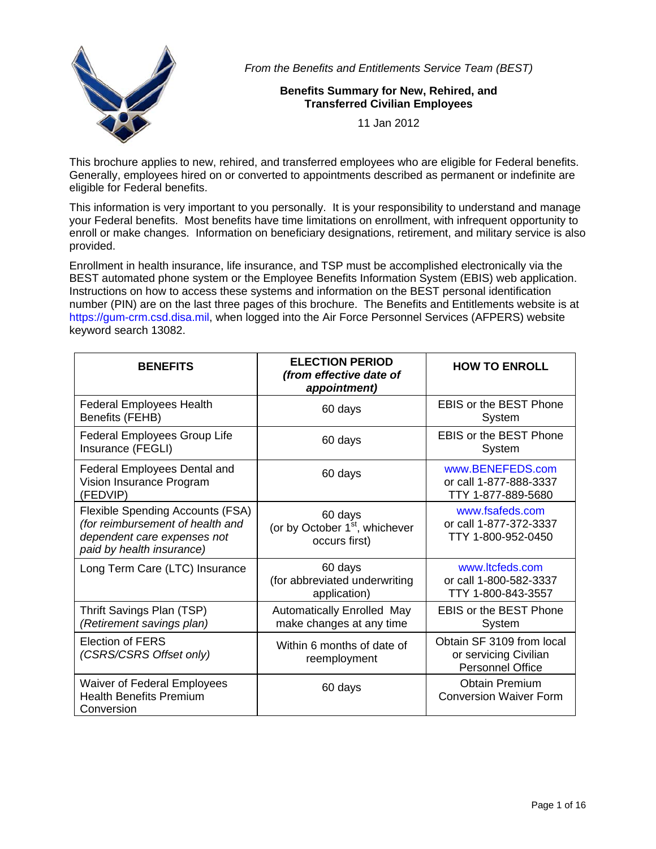

*From the Benefits and Entitlements Service Team (BEST)* 

# **Benefits Summary for New, Rehired, and Transferred Civilian Employees**

11 Jan 2012

This brochure applies to new, rehired, and transferred employees who are eligible for Federal benefits. Generally, employees hired on or converted to appointments described as permanent or indefinite are eligible for Federal benefits.

This information is very important to you personally. It is your responsibility to understand and manage your Federal benefits. Most benefits have time limitations on enrollment, with infrequent opportunity to enroll or make changes. Information on beneficiary designations, retirement, and military service is also provided.

Enrollment in health insurance, life insurance, and TSP must be accomplished electronically via the BEST automated phone system or the Employee Benefits Information System (EBIS) web application. Instructions on how to access these systems and information on the BEST personal identification number (PIN) are on the last three pages of this brochure. The Benefits and Entitlements website is at https://gum-crm.csd.disa.mil, when logged into the Air Force Personnel Services (AFPERS) website keyword search 13082.

| <b>BENEFITS</b>                                                                                                                  | <b>ELECTION PERIOD</b><br>(from effective date of<br>appointment)      | <b>HOW TO ENROLL</b>                                                          |
|----------------------------------------------------------------------------------------------------------------------------------|------------------------------------------------------------------------|-------------------------------------------------------------------------------|
| <b>Federal Employees Health</b><br>Benefits (FEHB)                                                                               | 60 days                                                                | <b>EBIS or the BEST Phone</b><br>System                                       |
| <b>Federal Employees Group Life</b><br>Insurance (FEGLI)                                                                         | 60 days                                                                | <b>EBIS or the BEST Phone</b><br>System                                       |
| Federal Employees Dental and<br>Vision Insurance Program<br>(FEDVIP)                                                             | 60 days                                                                | www.BENEFEDS.com<br>or call 1-877-888-3337<br>TTY 1-877-889-5680              |
| Flexible Spending Accounts (FSA)<br>(for reimbursement of health and<br>dependent care expenses not<br>paid by health insurance) | 60 days<br>(or by October 1 <sup>st</sup> , whichever<br>occurs first) | www.fsafeds.com<br>or call 1-877-372-3337<br>TTY 1-800-952-0450               |
| Long Term Care (LTC) Insurance                                                                                                   | 60 days<br>(for abbreviated underwriting<br>application)               | www.ltcfeds.com<br>or call 1-800-582-3337<br>TTY 1-800-843-3557               |
| Thrift Savings Plan (TSP)<br>(Retirement savings plan)                                                                           | <b>Automatically Enrolled May</b><br>make changes at any time          | <b>EBIS or the BEST Phone</b><br>System                                       |
| <b>Election of FERS</b><br>(CSRS/CSRS Offset only)                                                                               | Within 6 months of date of<br>reemployment                             | Obtain SF 3109 from local<br>or servicing Civilian<br><b>Personnel Office</b> |
| Waiver of Federal Employees<br><b>Health Benefits Premium</b><br>Conversion                                                      | 60 days                                                                | <b>Obtain Premium</b><br><b>Conversion Waiver Form</b>                        |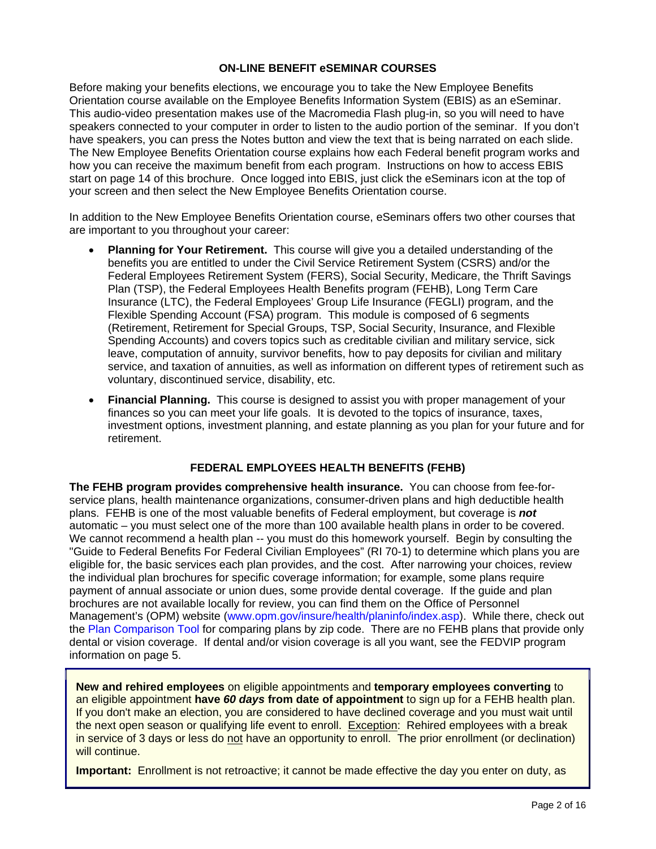## **ON-LINE BENEFIT eSEMINAR COURSES**

Before making your benefits elections, we encourage you to take the New Employee Benefits Orientation course available on the Employee Benefits Information System (EBIS) as an eSeminar. This audio-video presentation makes use of the Macromedia Flash plug-in, so you will need to have speakers connected to your computer in order to listen to the audio portion of the seminar. If you don't have speakers, you can press the Notes button and view the text that is being narrated on each slide. The New Employee Benefits Orientation course explains how each Federal benefit program works and how you can receive the maximum benefit from each program. Instructions on how to access EBIS start on page 14 of this brochure. Once logged into EBIS, just click the eSeminars icon at the top of your screen and then select the New Employee Benefits Orientation course.

In addition to the New Employee Benefits Orientation course, eSeminars offers two other courses that are important to you throughout your career:

- **Planning for Your Retirement.** This course will give you a detailed understanding of the benefits you are entitled to under the Civil Service Retirement System (CSRS) and/or the Federal Employees Retirement System (FERS), Social Security, Medicare, the Thrift Savings Plan (TSP), the Federal Employees Health Benefits program (FEHB), Long Term Care Insurance (LTC), the Federal Employees' Group Life Insurance (FEGLI) program, and the Flexible Spending Account (FSA) program. This module is composed of 6 segments (Retirement, Retirement for Special Groups, TSP, Social Security, Insurance, and Flexible Spending Accounts) and covers topics such as creditable civilian and military service, sick leave, computation of annuity, survivor benefits, how to pay deposits for civilian and military service, and taxation of annuities, as well as information on different types of retirement such as voluntary, discontinued service, disability, etc.
- **Financial Planning.** This course is designed to assist you with proper management of your finances so you can meet your life goals. It is devoted to the topics of insurance, taxes, investment options, investment planning, and estate planning as you plan for your future and for retirement.

## **FEDERAL EMPLOYEES HEALTH BENEFITS (FEHB)**

**The FEHB program provides comprehensive health insurance.** You can choose from fee-forservice plans, health maintenance organizations, consumer-driven plans and high deductible health plans. FEHB is one of the most valuable benefits of Federal employment, but coverage is *not* automatic – you must select one of the more than 100 available health plans in order to be covered. We cannot recommend a health plan -- you must do this homework yourself. Begin by consulting the "Guide to Federal Benefits For Federal Civilian Employees" (RI 70-1) to determine which plans you are eligible for, the basic services each plan provides, and the cost. After narrowing your choices, review the individual plan brochures for specific coverage information; for example, some plans require payment of annual associate or union dues, some provide dental coverage. If the guide and plan brochures are not available locally for review, you can find them on the Office of Personnel Management's (OPM) website (www.opm.gov/insure/health/planinfo/index.asp). While there, check out the Plan Comparison Tool for comparing plans by zip code. There are no FEHB plans that provide only dental or vision coverage. If dental and/or vision coverage is all you want, see the FEDVIP program information on page 5.

**New and rehired employees** on eligible appointments and **temporary employees converting** to an eligible appointment **have** *60 days* **from date of appointment** to sign up for a FEHB health plan. If you don't make an election, you are considered to have declined coverage and you must wait until the next open season or qualifying life event to enroll. Exception: Rehired employees with a break in service of 3 days or less do not have an opportunity to enroll. The prior enrollment (or declination) will continue.

**Important:** Enrollment is not retroactive; it cannot be made effective the day you enter on duty, as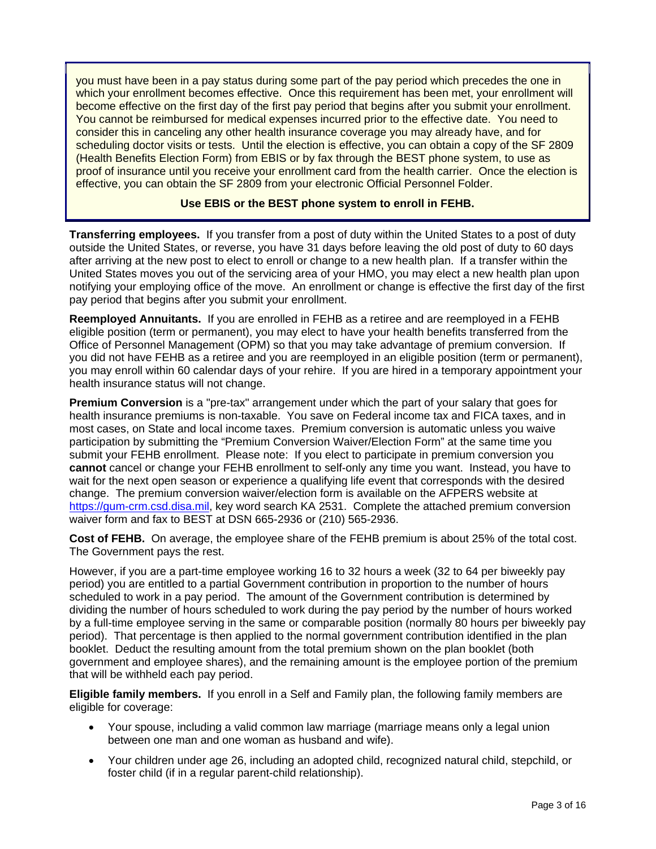you must have been in a pay status during some part of the pay period which precedes the one in which your enrollment becomes effective. Once this requirement has been met, your enrollment will become effective on the first day of the first pay period that begins after you submit your enrollment. You cannot be reimbursed for medical expenses incurred prior to the effective date. You need to consider this in canceling any other health insurance coverage you may already have, and for scheduling doctor visits or tests. Until the election is effective, you can obtain a copy of the SF 2809 (Health Benefits Election Form) from EBIS or by fax through the BEST phone system, to use as proof of insurance until you receive your enrollment card from the health carrier. Once the election is effective, you can obtain the SF 2809 from your electronic Official Personnel Folder.

## **Use EBIS or the BEST phone system to enroll in FEHB.**

**Transferring employees.** If you transfer from a post of duty within the United States to a post of duty outside the United States, or reverse, you have 31 days before leaving the old post of duty to 60 days after arriving at the new post to elect to enroll or change to a new health plan. If a transfer within the United States moves you out of the servicing area of your HMO, you may elect a new health plan upon notifying your employing office of the move. An enrollment or change is effective the first day of the first pay period that begins after you submit your enrollment.

**Reemployed Annuitants.** If you are enrolled in FEHB as a retiree and are reemployed in a FEHB eligible position (term or permanent), you may elect to have your health benefits transferred from the Office of Personnel Management (OPM) so that you may take advantage of premium conversion. If you did not have FEHB as a retiree and you are reemployed in an eligible position (term or permanent), you may enroll within 60 calendar days of your rehire. If you are hired in a temporary appointment your health insurance status will not change.

**Premium Conversion** is a "pre-tax" arrangement under which the part of your salary that goes for health insurance premiums is non-taxable. You save on Federal income tax and FICA taxes, and in most cases, on State and local income taxes. Premium conversion is automatic unless you waive participation by submitting the "Premium Conversion Waiver/Election Form" at the same time you submit your FEHB enrollment. Please note: If you elect to participate in premium conversion you **cannot** cancel or change your FEHB enrollment to self-only any time you want. Instead, you have to wait for the next open season or experience a qualifying life event that corresponds with the desired change. The premium conversion waiver/election form is available on the AFPERS website at https://gum-crm.csd.disa.mil, key word search KA 2531. Complete the attached premium conversion waiver form and fax to BEST at DSN 665-2936 or (210) 565-2936.

**Cost of FEHB.** On average, the employee share of the FEHB premium is about 25% of the total cost. The Government pays the rest.

However, if you are a part-time employee working 16 to 32 hours a week (32 to 64 per biweekly pay period) you are entitled to a partial Government contribution in proportion to the number of hours scheduled to work in a pay period. The amount of the Government contribution is determined by dividing the number of hours scheduled to work during the pay period by the number of hours worked by a full-time employee serving in the same or comparable position (normally 80 hours per biweekly pay period). That percentage is then applied to the normal government contribution identified in the plan booklet. Deduct the resulting amount from the total premium shown on the plan booklet (both government and employee shares), and the remaining amount is the employee portion of the premium that will be withheld each pay period.

**Eligible family members.** If you enroll in a Self and Family plan, the following family members are eligible for coverage:

- Your spouse, including a valid common law marriage (marriage means only a legal union between one man and one woman as husband and wife).
- Your children under age 26, including an adopted child, recognized natural child, stepchild, or foster child (if in a regular parent-child relationship).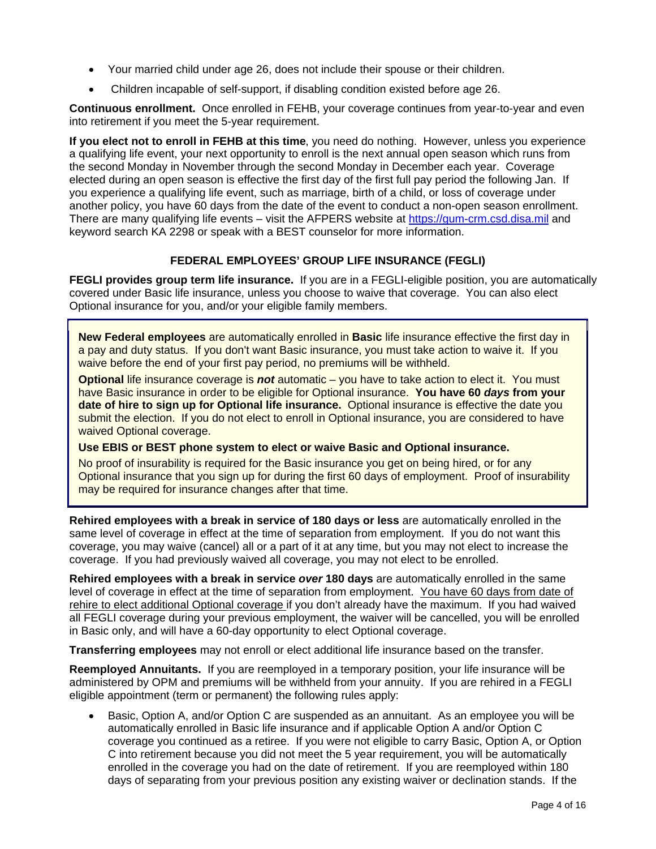- Your married child under age 26, does not include their spouse or their children.
- Children incapable of self-support, if disabling condition existed before age 26.

**Continuous enrollment.** Once enrolled in FEHB, your coverage continues from year-to-year and even into retirement if you meet the 5-year requirement.

**If you elect not to enroll in FEHB at this time**, you need do nothing. However, unless you experience a qualifying life event, your next opportunity to enroll is the next annual open season which runs from the second Monday in November through the second Monday in December each year. Coverage elected during an open season is effective the first day of the first full pay period the following Jan. If you experience a qualifying life event, such as marriage, birth of a child, or loss of coverage under another policy, you have 60 days from the date of the event to conduct a non-open season enrollment. There are many qualifying life events – visit the AFPERS website at https://gum-crm.csd.disa.mil and keyword search KA 2298 or speak with a BEST counselor for more information.

# **FEDERAL EMPLOYEES' GROUP LIFE INSURANCE (FEGLI)**

**FEGLI provides group term life insurance.** If you are in a FEGLI-eligible position, you are automatically covered under Basic life insurance, unless you choose to waive that coverage. You can also elect Optional insurance for you, and/or your eligible family members.

**New Federal employees** are automatically enrolled in **Basic** life insurance effective the first day in a pay and duty status. If you don't want Basic insurance, you must take action to waive it. If you waive before the end of your first pay period, no premiums will be withheld.

**Optional** life insurance coverage is *not* automatic – you have to take action to elect it. You must have Basic insurance in order to be eligible for Optional insurance. **You have 60** *days* **from your date of hire to sign up for Optional life insurance.** Optional insurance is effective the date you submit the election. If you do not elect to enroll in Optional insurance, you are considered to have waived Optional coverage.

**Use EBIS or BEST phone system to elect or waive Basic and Optional insurance.** 

No proof of insurability is required for the Basic insurance you get on being hired, or for any Optional insurance that you sign up for during the first 60 days of employment. Proof of insurability may be required for insurance changes after that time.

**Rehired employees with a break in service of 180 days or less** are automatically enrolled in the same level of coverage in effect at the time of separation from employment. If you do not want this coverage, you may waive (cancel) all or a part of it at any time, but you may not elect to increase the coverage. If you had previously waived all coverage, you may not elect to be enrolled.

**Rehired employees with a break in service** *over* **180 days** are automatically enrolled in the same level of coverage in effect at the time of separation from employment. You have 60 days from date of rehire to elect additional Optional coverage if you don't already have the maximum. If you had waived all FEGLI coverage during your previous employment, the waiver will be cancelled, you will be enrolled in Basic only, and will have a 60-day opportunity to elect Optional coverage.

**Transferring employees** may not enroll or elect additional life insurance based on the transfer.

**Reemployed Annuitants.** If you are reemployed in a temporary position, your life insurance will be administered by OPM and premiums will be withheld from your annuity. If you are rehired in a FEGLI eligible appointment (term or permanent) the following rules apply:

 Basic, Option A, and/or Option C are suspended as an annuitant. As an employee you will be automatically enrolled in Basic life insurance and if applicable Option A and/or Option C coverage you continued as a retiree. If you were not eligible to carry Basic, Option A, or Option C into retirement because you did not meet the 5 year requirement, you will be automatically enrolled in the coverage you had on the date of retirement. If you are reemployed within 180 days of separating from your previous position any existing waiver or declination stands. If the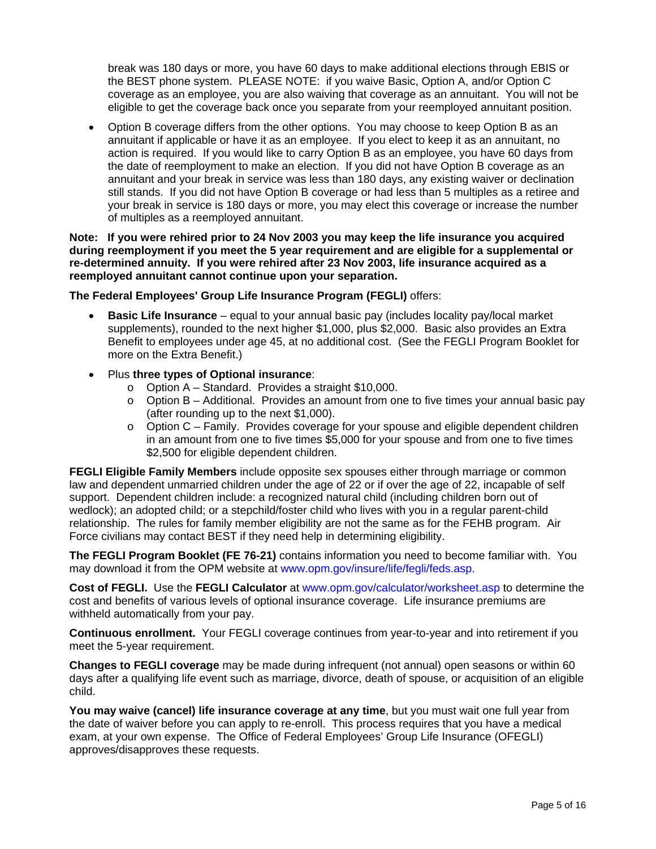break was 180 days or more, you have 60 days to make additional elections through EBIS or the BEST phone system. PLEASE NOTE: if you waive Basic, Option A, and/or Option C coverage as an employee, you are also waiving that coverage as an annuitant. You will not be eligible to get the coverage back once you separate from your reemployed annuitant position.

• Option B coverage differs from the other options. You may choose to keep Option B as an annuitant if applicable or have it as an employee. If you elect to keep it as an annuitant, no action is required. If you would like to carry Option B as an employee, you have 60 days from the date of reemployment to make an election. If you did not have Option B coverage as an annuitant and your break in service was less than 180 days, any existing waiver or declination still stands. If you did not have Option B coverage or had less than 5 multiples as a retiree and your break in service is 180 days or more, you may elect this coverage or increase the number of multiples as a reemployed annuitant.

### **Note: If you were rehired prior to 24 Nov 2003 you may keep the life insurance you acquired during reemployment if you meet the 5 year requirement and are eligible for a supplemental or re-determined annuity. If you were rehired after 23 Nov 2003, life insurance acquired as a reemployed annuitant cannot continue upon your separation.**

**The Federal Employees' Group Life Insurance Program (FEGLI)** offers:

- **Basic Life Insurance** equal to your annual basic pay (includes locality pay/local market supplements), rounded to the next higher \$1,000, plus \$2,000. Basic also provides an Extra Benefit to employees under age 45, at no additional cost. (See the FEGLI Program Booklet for more on the Extra Benefit.)
- Plus **three types of Optional insurance**:
	- o Option A Standard. Provides a straight \$10,000.
	- $\circ$  Option B Additional. Provides an amount from one to five times your annual basic pay (after rounding up to the next \$1,000).
	- $\circ$  Option C Family. Provides coverage for your spouse and eligible dependent children in an amount from one to five times \$5,000 for your spouse and from one to five times \$2,500 for eligible dependent children.

**FEGLI Eligible Family Members** include opposite sex spouses either through marriage or common law and dependent unmarried children under the age of 22 or if over the age of 22, incapable of self support. Dependent children include: a recognized natural child (including children born out of wedlock); an adopted child; or a stepchild/foster child who lives with you in a regular parent-child relationship. The rules for family member eligibility are not the same as for the FEHB program. Air Force civilians may contact BEST if they need help in determining eligibility.

**The FEGLI Program Booklet (FE 76-21)** contains information you need to become familiar with. You may download it from the OPM website at www.opm.gov/insure/life/fegli/feds.asp.

**Cost of FEGLI.** Use the **FEGLI Calculator** at www.opm.gov/calculator/worksheet.asp to determine the cost and benefits of various levels of optional insurance coverage. Life insurance premiums are withheld automatically from your pay.

**Continuous enrollment.** Your FEGLI coverage continues from year-to-year and into retirement if you meet the 5-year requirement.

**Changes to FEGLI coverage** may be made during infrequent (not annual) open seasons or within 60 days after a qualifying life event such as marriage, divorce, death of spouse, or acquisition of an eligible child.

**You may waive (cancel) life insurance coverage at any time**, but you must wait one full year from the date of waiver before you can apply to re-enroll. This process requires that you have a medical exam, at your own expense. The Office of Federal Employees' Group Life Insurance (OFEGLI) approves/disapproves these requests.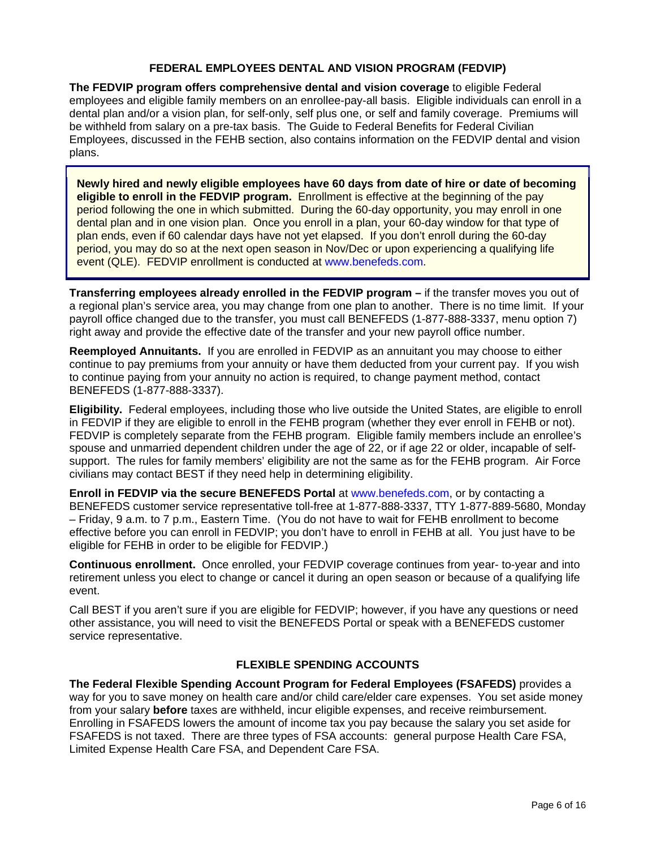## **FEDERAL EMPLOYEES DENTAL AND VISION PROGRAM (FEDVIP)**

**The FEDVIP program offers comprehensive dental and vision coverage** to eligible Federal employees and eligible family members on an enrollee-pay-all basis. Eligible individuals can enroll in a dental plan and/or a vision plan, for self-only, self plus one, or self and family coverage. Premiums will be withheld from salary on a pre-tax basis. The Guide to Federal Benefits for Federal Civilian Employees, discussed in the FEHB section, also contains information on the FEDVIP dental and vision plans.

**Newly hired and newly eligible employees have 60 days from date of hire or date of becoming eligible to enroll in the FEDVIP program.** Enrollment is effective at the beginning of the pay period following the one in which submitted. During the 60-day opportunity, you may enroll in one dental plan and in one vision plan. Once you enroll in a plan, your 60-day window for that type of plan ends, even if 60 calendar days have not yet elapsed. If you don't enroll during the 60-day period, you may do so at the next open season in Nov/Dec or upon experiencing a qualifying life event (QLE). FEDVIP enrollment is conducted at www.benefeds.com.

**Transferring employees already enrolled in the FEDVIP program –** if the transfer moves you out of a regional plan's service area, you may change from one plan to another. There is no time limit. If your payroll office changed due to the transfer, you must call BENEFEDS (1-877-888-3337, menu option 7) right away and provide the effective date of the transfer and your new payroll office number.

**Reemployed Annuitants.** If you are enrolled in FEDVIP as an annuitant you may choose to either continue to pay premiums from your annuity or have them deducted from your current pay. If you wish to continue paying from your annuity no action is required, to change payment method, contact BENEFEDS (1-877-888-3337).

**Eligibility.** Federal employees, including those who live outside the United States, are eligible to enroll in FEDVIP if they are eligible to enroll in the FEHB program (whether they ever enroll in FEHB or not). FEDVIP is completely separate from the FEHB program. Eligible family members include an enrollee's spouse and unmarried dependent children under the age of 22, or if age 22 or older, incapable of selfsupport. The rules for family members' eligibility are not the same as for the FEHB program. Air Force civilians may contact BEST if they need help in determining eligibility.

**Enroll in FEDVIP via the secure BENEFEDS Portal** at www.benefeds.com, or by contacting a BENEFEDS customer service representative toll-free at 1-877-888-3337, TTY 1-877-889-5680, Monday – Friday, 9 a.m. to 7 p.m., Eastern Time. (You do not have to wait for FEHB enrollment to become effective before you can enroll in FEDVIP; you don't have to enroll in FEHB at all. You just have to be eligible for FEHB in order to be eligible for FEDVIP.)

**Continuous enrollment.** Once enrolled, your FEDVIP coverage continues from year- to-year and into retirement unless you elect to change or cancel it during an open season or because of a qualifying life event.

Call BEST if you aren't sure if you are eligible for FEDVIP; however, if you have any questions or need other assistance, you will need to visit the BENEFEDS Portal or speak with a BENEFEDS customer service representative.

## **FLEXIBLE SPENDING ACCOUNTS**

**The Federal Flexible Spending Account Program for Federal Employees (FSAFEDS)** provides a way for you to save money on health care and/or child care/elder care expenses. You set aside money from your salary **before** taxes are withheld, incur eligible expenses, and receive reimbursement. Enrolling in FSAFEDS lowers the amount of income tax you pay because the salary you set aside for FSAFEDS is not taxed. There are three types of FSA accounts: general purpose Health Care FSA, Limited Expense Health Care FSA, and Dependent Care FSA.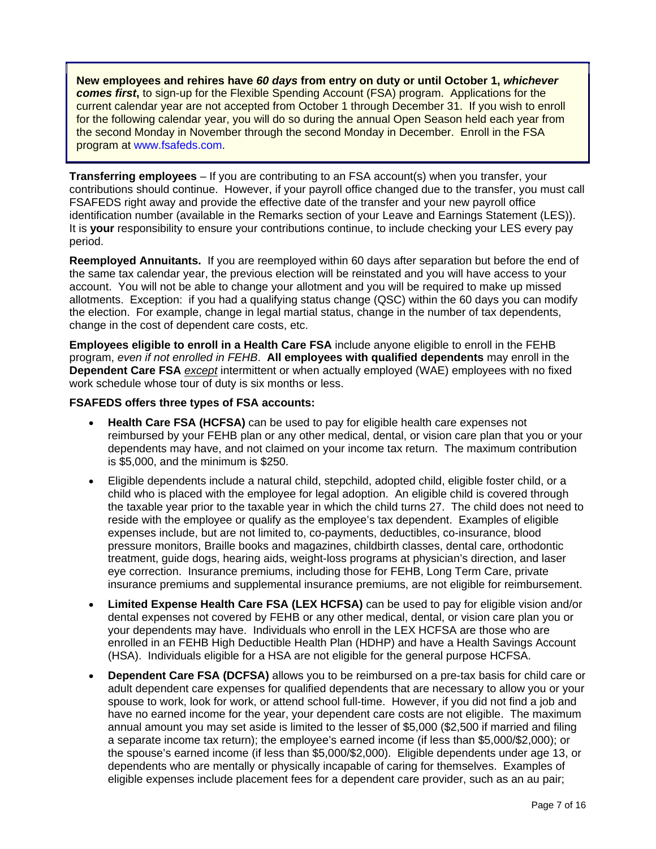**New employees and rehires have** *60 days* **from entry on duty or until October 1,** *whichever comes first***,** to sign-up for the Flexible Spending Account (FSA) program. Applications for the current calendar year are not accepted from October 1 through December 31. If you wish to enroll for the following calendar year, you will do so during the annual Open Season held each year from the second Monday in November through the second Monday in December. Enroll in the FSA program at www.fsafeds.com.

**Transferring employees** – If you are contributing to an FSA account(s) when you transfer, your contributions should continue. However, if your payroll office changed due to the transfer, you must call FSAFEDS right away and provide the effective date of the transfer and your new payroll office identification number (available in the Remarks section of your Leave and Earnings Statement (LES)). It is **your** responsibility to ensure your contributions continue, to include checking your LES every pay period.

**Reemployed Annuitants.** If you are reemployed within 60 days after separation but before the end of the same tax calendar year, the previous election will be reinstated and you will have access to your account. You will not be able to change your allotment and you will be required to make up missed allotments. Exception: if you had a qualifying status change (QSC) within the 60 days you can modify the election. For example, change in legal martial status, change in the number of tax dependents, change in the cost of dependent care costs, etc.

**Employees eligible to enroll in a Health Care FSA** include anyone eligible to enroll in the FEHB program, *even if not enrolled in FEHB*. **All employees with qualified dependents** may enroll in the **Dependent Care FSA** *except* intermittent or when actually employed (WAE) employees with no fixed work schedule whose tour of duty is six months or less.

## **FSAFEDS offers three types of FSA accounts:**

- **Health Care FSA (HCFSA)** can be used to pay for eligible health care expenses not reimbursed by your FEHB plan or any other medical, dental, or vision care plan that you or your dependents may have, and not claimed on your income tax return. The maximum contribution is \$5,000, and the minimum is \$250.
- Eligible dependents include a natural child, stepchild, adopted child, eligible foster child, or a child who is placed with the employee for legal adoption. An eligible child is covered through the taxable year prior to the taxable year in which the child turns 27. The child does not need to reside with the employee or qualify as the employee's tax dependent. Examples of eligible expenses include, but are not limited to, co-payments, deductibles, co-insurance, blood pressure monitors, Braille books and magazines, childbirth classes, dental care, orthodontic treatment, guide dogs, hearing aids, weight-loss programs at physician's direction, and laser eye correction. Insurance premiums, including those for FEHB, Long Term Care, private insurance premiums and supplemental insurance premiums, are not eligible for reimbursement.
- **Limited Expense Health Care FSA (LEX HCFSA)** can be used to pay for eligible vision and/or dental expenses not covered by FEHB or any other medical, dental, or vision care plan you or your dependents may have. Individuals who enroll in the LEX HCFSA are those who are enrolled in an FEHB High Deductible Health Plan (HDHP) and have a Health Savings Account (HSA). Individuals eligible for a HSA are not eligible for the general purpose HCFSA.
- **Dependent Care FSA (DCFSA)** allows you to be reimbursed on a pre-tax basis for child care or adult dependent care expenses for qualified dependents that are necessary to allow you or your spouse to work, look for work, or attend school full-time. However, if you did not find a job and have no earned income for the year, your dependent care costs are not eligible. The maximum annual amount you may set aside is limited to the lesser of \$5,000 (\$2,500 if married and filing a separate income tax return); the employee's earned income (if less than \$5,000/\$2,000); or the spouse's earned income (if less than \$5,000/\$2,000). Eligible dependents under age 13, or dependents who are mentally or physically incapable of caring for themselves. Examples of eligible expenses include placement fees for a dependent care provider, such as an au pair;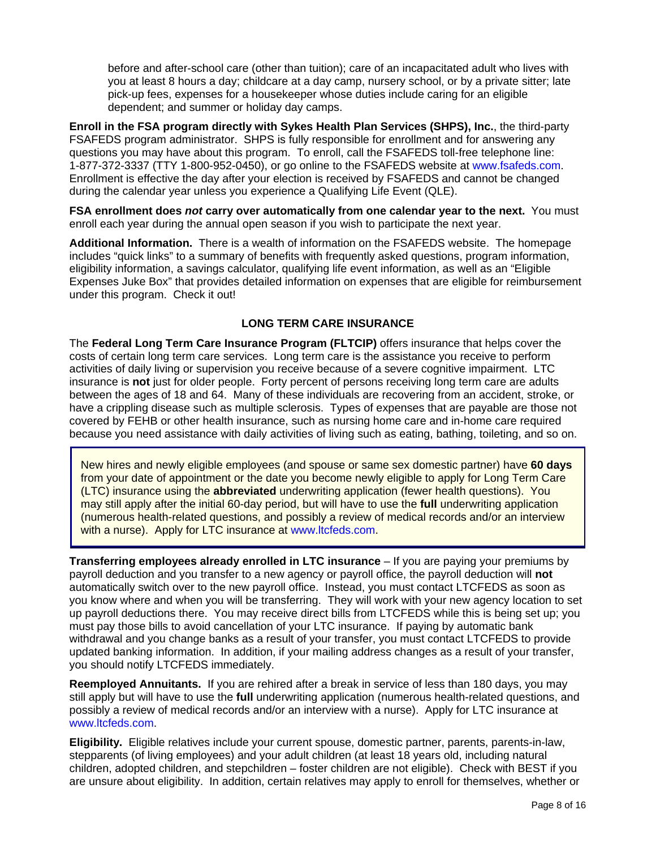before and after-school care (other than tuition); care of an incapacitated adult who lives with you at least 8 hours a day; childcare at a day camp, nursery school, or by a private sitter; late pick-up fees, expenses for a housekeeper whose duties include caring for an eligible dependent; and summer or holiday day camps.

**Enroll in the FSA program directly with Sykes Health Plan Services (SHPS), Inc.**, the third-party FSAFEDS program administrator. SHPS is fully responsible for enrollment and for answering any questions you may have about this program. To enroll, call the FSAFEDS toll-free telephone line: 1-877-372-3337 (TTY 1-800-952-0450), or go online to the FSAFEDS website at www.fsafeds.com. Enrollment is effective the day after your election is received by FSAFEDS and cannot be changed during the calendar year unless you experience a Qualifying Life Event (QLE).

**FSA enrollment does** *not* **carry over automatically from one calendar year to the next.** You must enroll each year during the annual open season if you wish to participate the next year.

**Additional Information.** There is a wealth of information on the FSAFEDS website. The homepage includes "quick links" to a summary of benefits with frequently asked questions, program information, eligibility information, a savings calculator, qualifying life event information, as well as an "Eligible Expenses Juke Box" that provides detailed information on expenses that are eligible for reimbursement under this program. Check it out!

## **LONG TERM CARE INSURANCE**

The **Federal Long Term Care Insurance Program (FLTCIP)** offers insurance that helps cover the costs of certain long term care services. Long term care is the assistance you receive to perform activities of daily living or supervision you receive because of a severe cognitive impairment. LTC insurance is **not** just for older people. Forty percent of persons receiving long term care are adults between the ages of 18 and 64. Many of these individuals are recovering from an accident, stroke, or have a crippling disease such as multiple sclerosis. Types of expenses that are payable are those not covered by FEHB or other health insurance, such as nursing home care and in-home care required because you need assistance with daily activities of living such as eating, bathing, toileting, and so on.

New hires and newly eligible employees (and spouse or same sex domestic partner) have **60 days** from your date of appointment or the date you become newly eligible to apply for Long Term Care (LTC) insurance using the **abbreviated** underwriting application (fewer health questions). You may still apply after the initial 60-day period, but will have to use the **full** underwriting application (numerous health-related questions, and possibly a review of medical records and/or an interview with a nurse). Apply for LTC insurance at www.ltcfeds.com.

**Transferring employees already enrolled in LTC insurance** – If you are paying your premiums by payroll deduction and you transfer to a new agency or payroll office, the payroll deduction will **not** automatically switch over to the new payroll office. Instead, you must contact LTCFEDS as soon as you know where and when you will be transferring. They will work with your new agency location to set up payroll deductions there. You may receive direct bills from LTCFEDS while this is being set up; you must pay those bills to avoid cancellation of your LTC insurance. If paying by automatic bank withdrawal and you change banks as a result of your transfer, you must contact LTCFEDS to provide updated banking information. In addition, if your mailing address changes as a result of your transfer, you should notify LTCFEDS immediately.

**Reemployed Annuitants.** If you are rehired after a break in service of less than 180 days, you may still apply but will have to use the **full** underwriting application (numerous health-related questions, and possibly a review of medical records and/or an interview with a nurse). Apply for LTC insurance at www.ltcfeds.com.

**Eligibility.** Eligible relatives include your current spouse, domestic partner, parents, parents-in-law, stepparents (of living employees) and your adult children (at least 18 years old, including natural children, adopted children, and stepchildren – foster children are not eligible). Check with BEST if you are unsure about eligibility. In addition, certain relatives may apply to enroll for themselves, whether or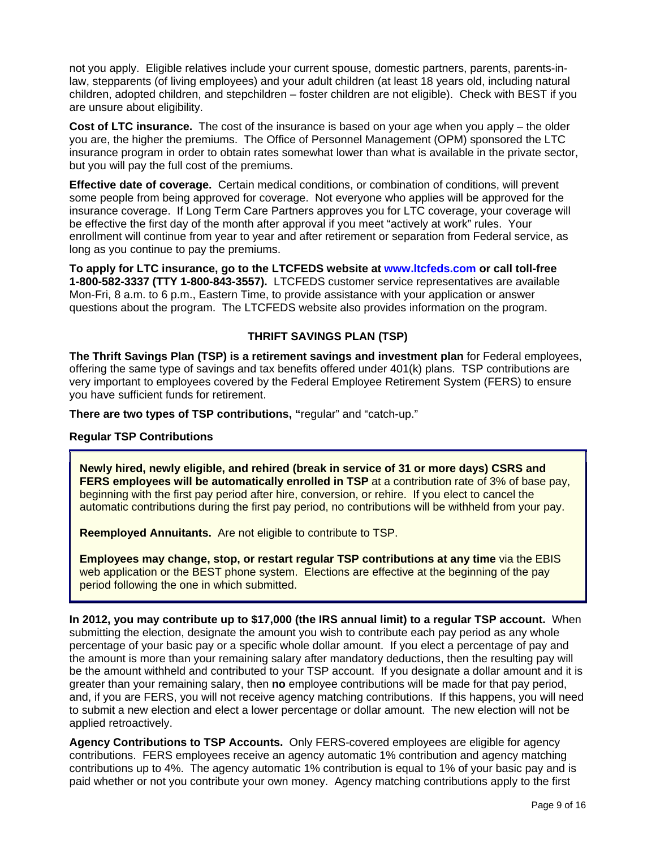not you apply. Eligible relatives include your current spouse, domestic partners, parents, parents-inlaw, stepparents (of living employees) and your adult children (at least 18 years old, including natural children, adopted children, and stepchildren – foster children are not eligible). Check with BEST if you are unsure about eligibility.

**Cost of LTC insurance.** The cost of the insurance is based on your age when you apply – the older you are, the higher the premiums. The Office of Personnel Management (OPM) sponsored the LTC insurance program in order to obtain rates somewhat lower than what is available in the private sector, but you will pay the full cost of the premiums.

**Effective date of coverage.** Certain medical conditions, or combination of conditions, will prevent some people from being approved for coverage. Not everyone who applies will be approved for the insurance coverage. If Long Term Care Partners approves you for LTC coverage, your coverage will be effective the first day of the month after approval if you meet "actively at work" rules. Your enrollment will continue from year to year and after retirement or separation from Federal service, as long as you continue to pay the premiums.

**To apply for LTC insurance, go to the LTCFEDS website at www.ltcfeds.com or call toll-free 1-800-582-3337 (TTY 1-800-843-3557).** LTCFEDS customer service representatives are available Mon-Fri, 8 a.m. to 6 p.m., Eastern Time, to provide assistance with your application or answer questions about the program. The LTCFEDS website also provides information on the program.

## **THRIFT SAVINGS PLAN (TSP)**

**The Thrift Savings Plan (TSP) is a retirement savings and investment plan** for Federal employees, offering the same type of savings and tax benefits offered under 401(k) plans. TSP contributions are very important to employees covered by the Federal Employee Retirement System (FERS) to ensure you have sufficient funds for retirement.

**There are two types of TSP contributions, "**regular" and "catch-up."

## **Regular TSP Contributions**

**Newly hired, newly eligible, and rehired (break in service of 31 or more days) CSRS and FERS employees will be automatically enrolled in TSP at a contribution rate of 3% of base pay,** beginning with the first pay period after hire, conversion, or rehire. If you elect to cancel the automatic contributions during the first pay period, no contributions will be withheld from your pay.

**Reemployed Annuitants.** Are not eligible to contribute to TSP.

**Employees may change, stop, or restart regular TSP contributions at any time** via the EBIS web application or the BEST phone system. Elections are effective at the beginning of the pay period following the one in which submitted.

**In 2012, you may contribute up to \$17,000 (the IRS annual limit) to a regular TSP account.** When submitting the election, designate the amount you wish to contribute each pay period as any whole percentage of your basic pay or a specific whole dollar amount. If you elect a percentage of pay and the amount is more than your remaining salary after mandatory deductions, then the resulting pay will be the amount withheld and contributed to your TSP account. If you designate a dollar amount and it is greater than your remaining salary, then **no** employee contributions will be made for that pay period, and, if you are FERS, you will not receive agency matching contributions. If this happens, you will need to submit a new election and elect a lower percentage or dollar amount. The new election will not be applied retroactively.

**Agency Contributions to TSP Accounts.** Only FERS-covered employees are eligible for agency contributions. FERS employees receive an agency automatic 1% contribution and agency matching contributions up to 4%. The agency automatic 1% contribution is equal to 1% of your basic pay and is paid whether or not you contribute your own money. Agency matching contributions apply to the first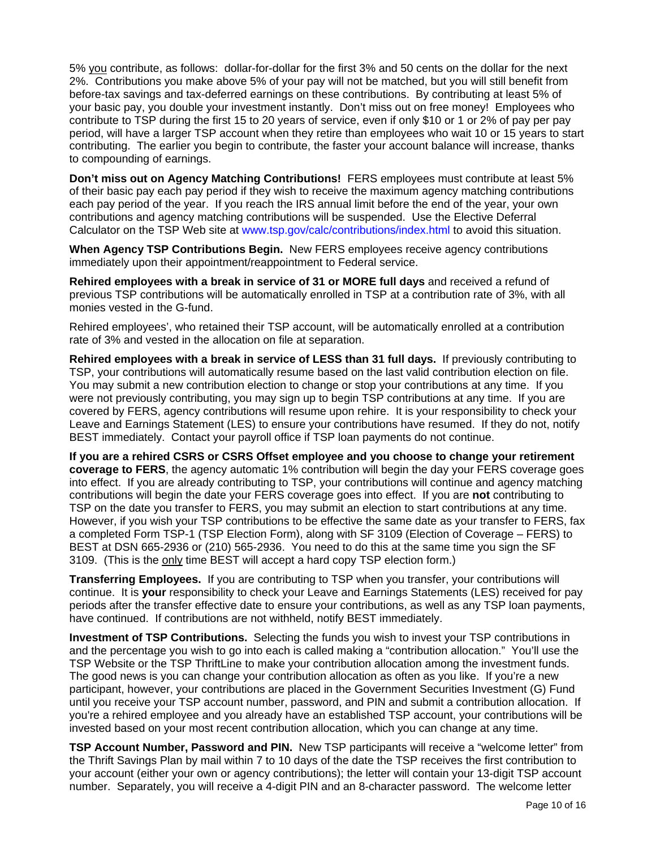5% you contribute, as follows: dollar-for-dollar for the first 3% and 50 cents on the dollar for the next 2%. Contributions you make above 5% of your pay will not be matched, but you will still benefit from before-tax savings and tax-deferred earnings on these contributions. By contributing at least 5% of your basic pay, you double your investment instantly. Don't miss out on free money! Employees who contribute to TSP during the first 15 to 20 years of service, even if only \$10 or 1 or 2% of pay per pay period, will have a larger TSP account when they retire than employees who wait 10 or 15 years to start contributing. The earlier you begin to contribute, the faster your account balance will increase, thanks to compounding of earnings.

**Don't miss out on Agency Matching Contributions!** FERS employees must contribute at least 5% of their basic pay each pay period if they wish to receive the maximum agency matching contributions each pay period of the year. If you reach the IRS annual limit before the end of the year, your own contributions and agency matching contributions will be suspended. Use the Elective Deferral Calculator on the TSP Web site at www.tsp.gov/calc/contributions/index.html to avoid this situation.

**When Agency TSP Contributions Begin.** New FERS employees receive agency contributions immediately upon their appointment/reappointment to Federal service.

**Rehired employees with a break in service of 31 or MORE full days** and received a refund of previous TSP contributions will be automatically enrolled in TSP at a contribution rate of 3%, with all monies vested in the G-fund.

Rehired employees', who retained their TSP account, will be automatically enrolled at a contribution rate of 3% and vested in the allocation on file at separation.

**Rehired employees with a break in service of LESS than 31 full days.** If previously contributing to TSP, your contributions will automatically resume based on the last valid contribution election on file. You may submit a new contribution election to change or stop your contributions at any time. If you were not previously contributing, you may sign up to begin TSP contributions at any time. If you are covered by FERS, agency contributions will resume upon rehire. It is your responsibility to check your Leave and Earnings Statement (LES) to ensure your contributions have resumed. If they do not, notify BEST immediately. Contact your payroll office if TSP loan payments do not continue.

**If you are a rehired CSRS or CSRS Offset employee and you choose to change your retirement coverage to FERS**, the agency automatic 1% contribution will begin the day your FERS coverage goes into effect. If you are already contributing to TSP, your contributions will continue and agency matching contributions will begin the date your FERS coverage goes into effect. If you are **not** contributing to TSP on the date you transfer to FERS, you may submit an election to start contributions at any time. However, if you wish your TSP contributions to be effective the same date as your transfer to FERS, fax a completed Form TSP-1 (TSP Election Form), along with SF 3109 (Election of Coverage – FERS) to BEST at DSN 665-2936 or (210) 565-2936. You need to do this at the same time you sign the SF 3109. (This is the only time BEST will accept a hard copy TSP election form.)

**Transferring Employees.** If you are contributing to TSP when you transfer, your contributions will continue. It is **your** responsibility to check your Leave and Earnings Statements (LES) received for pay periods after the transfer effective date to ensure your contributions, as well as any TSP loan payments, have continued. If contributions are not withheld, notify BEST immediately.

**Investment of TSP Contributions.** Selecting the funds you wish to invest your TSP contributions in and the percentage you wish to go into each is called making a "contribution allocation." You'll use the TSP Website or the TSP ThriftLine to make your contribution allocation among the investment funds. The good news is you can change your contribution allocation as often as you like. If you're a new participant, however, your contributions are placed in the Government Securities Investment (G) Fund until you receive your TSP account number, password, and PIN and submit a contribution allocation. If you're a rehired employee and you already have an established TSP account, your contributions will be invested based on your most recent contribution allocation, which you can change at any time.

**TSP Account Number, Password and PIN.** New TSP participants will receive a "welcome letter" from the Thrift Savings Plan by mail within 7 to 10 days of the date the TSP receives the first contribution to your account (either your own or agency contributions); the letter will contain your 13-digit TSP account number. Separately, you will receive a 4-digit PIN and an 8-character password. The welcome letter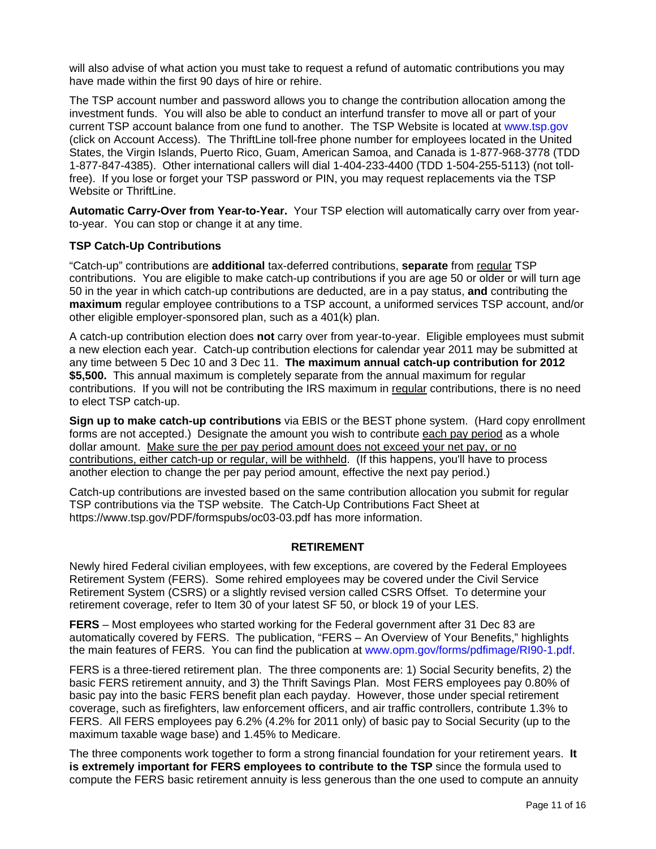will also advise of what action you must take to request a refund of automatic contributions you may have made within the first 90 days of hire or rehire.

The TSP account number and password allows you to change the contribution allocation among the investment funds. You will also be able to conduct an interfund transfer to move all or part of your current TSP account balance from one fund to another. The TSP Website is located at www.tsp.gov (click on Account Access). The ThriftLine toll-free phone number for employees located in the United States, the Virgin Islands, Puerto Rico, Guam, American Samoa, and Canada is 1-877-968-3778 (TDD 1-877-847-4385). Other international callers will dial 1-404-233-4400 (TDD 1-504-255-5113) (not tollfree). If you lose or forget your TSP password or PIN, you may request replacements via the TSP Website or ThriftLine.

**Automatic Carry-Over from Year-to-Year.** Your TSP election will automatically carry over from yearto-year. You can stop or change it at any time.

### **TSP Catch-Up Contributions**

"Catch-up" contributions are **additional** tax-deferred contributions, **separate** from regular TSP contributions. You are eligible to make catch-up contributions if you are age 50 or older or will turn age 50 in the year in which catch-up contributions are deducted, are in a pay status, **and** contributing the **maximum** regular employee contributions to a TSP account, a uniformed services TSP account, and/or other eligible employer-sponsored plan, such as a 401(k) plan.

A catch-up contribution election does **not** carry over from year-to-year. Eligible employees must submit a new election each year. Catch-up contribution elections for calendar year 2011 may be submitted at any time between 5 Dec 10 and 3 Dec 11. **The maximum annual catch-up contribution for 2012 \$5,500.** This annual maximum is completely separate from the annual maximum for regular contributions. If you will not be contributing the IRS maximum in regular contributions, there is no need to elect TSP catch-up.

**Sign up to make catch-up contributions** via EBIS or the BEST phone system. (Hard copy enrollment forms are not accepted.) Designate the amount you wish to contribute each pay period as a whole dollar amount. Make sure the per pay period amount does not exceed your net pay, or no contributions, either catch-up or regular, will be withheld. (If this happens, you'll have to process another election to change the per pay period amount, effective the next pay period.)

Catch-up contributions are invested based on the same contribution allocation you submit for regular TSP contributions via the TSP website. The Catch-Up Contributions Fact Sheet at https://www.tsp.gov/PDF/formspubs/oc03-03.pdf has more information.

#### **RETIREMENT**

Newly hired Federal civilian employees, with few exceptions, are covered by the Federal Employees Retirement System (FERS). Some rehired employees may be covered under the Civil Service Retirement System (CSRS) or a slightly revised version called CSRS Offset. To determine your retirement coverage, refer to Item 30 of your latest SF 50, or block 19 of your LES.

**FERS** – Most employees who started working for the Federal government after 31 Dec 83 are automatically covered by FERS. The publication, "FERS – An Overview of Your Benefits," highlights the main features of FERS. You can find the publication at www.opm.gov/forms/pdfimage/RI90-1.pdf.

FERS is a three-tiered retirement plan. The three components are: 1) Social Security benefits, 2) the basic FERS retirement annuity, and 3) the Thrift Savings Plan. Most FERS employees pay 0.80% of basic pay into the basic FERS benefit plan each payday. However, those under special retirement coverage, such as firefighters, law enforcement officers, and air traffic controllers, contribute 1.3% to FERS. All FERS employees pay 6.2% (4.2% for 2011 only) of basic pay to Social Security (up to the maximum taxable wage base) and 1.45% to Medicare.

The three components work together to form a strong financial foundation for your retirement years. **It is extremely important for FERS employees to contribute to the TSP** since the formula used to compute the FERS basic retirement annuity is less generous than the one used to compute an annuity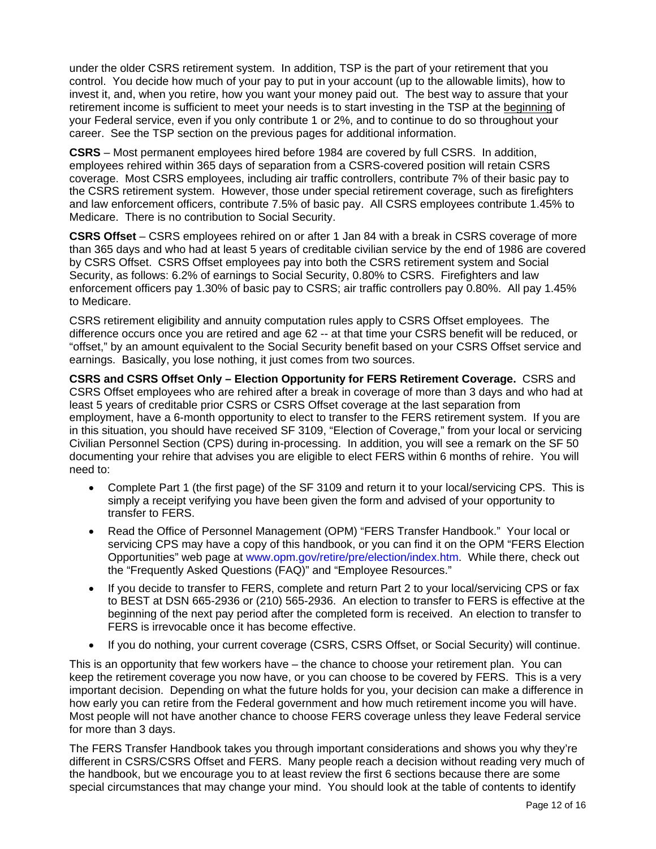under the older CSRS retirement system. In addition, TSP is the part of your retirement that you control. You decide how much of your pay to put in your account (up to the allowable limits), how to invest it, and, when you retire, how you want your money paid out. The best way to assure that your retirement income is sufficient to meet your needs is to start investing in the TSP at the beginning of your Federal service, even if you only contribute 1 or 2%, and to continue to do so throughout your career. See the TSP section on the previous pages for additional information.

**CSRS** – Most permanent employees hired before 1984 are covered by full CSRS. In addition, employees rehired within 365 days of separation from a CSRS-covered position will retain CSRS coverage. Most CSRS employees, including air traffic controllers, contribute 7% of their basic pay to the CSRS retirement system. However, those under special retirement coverage, such as firefighters and law enforcement officers, contribute 7.5% of basic pay. All CSRS employees contribute 1.45% to Medicare. There is no contribution to Social Security.

**CSRS Offset** – CSRS employees rehired on or after 1 Jan 84 with a break in CSRS coverage of more than 365 days and who had at least 5 years of creditable civilian service by the end of 1986 are covered by CSRS Offset. CSRS Offset employees pay into both the CSRS retirement system and Social Security, as follows: 6.2% of earnings to Social Security, 0.80% to CSRS. Firefighters and law enforcement officers pay 1.30% of basic pay to CSRS; air traffic controllers pay 0.80%. All pay 1.45% to Medicare.

CSRS retirement eligibility and annuity computation rules apply to CSRS Offset employees. The difference occurs once you are retired and age 62 -- at that time your CSRS benefit will be reduced, or "offset," by an amount equivalent to the Social Security benefit based on your CSRS Offset service and earnings. Basically, you lose nothing, it just comes from two sources.

**CSRS and CSRS Offset Only – Election Opportunity for FERS Retirement Coverage.** CSRS and CSRS Offset employees who are rehired after a break in coverage of more than 3 days and who had at least 5 years of creditable prior CSRS or CSRS Offset coverage at the last separation from employment, have a 6-month opportunity to elect to transfer to the FERS retirement system. If you are in this situation, you should have received SF 3109, "Election of Coverage," from your local or servicing Civilian Personnel Section (CPS) during in-processing. In addition, you will see a remark on the SF 50 documenting your rehire that advises you are eligible to elect FERS within 6 months of rehire. You will need to:

- Complete Part 1 (the first page) of the SF 3109 and return it to your local/servicing CPS. This is simply a receipt verifying you have been given the form and advised of your opportunity to transfer to FERS.
- Read the Office of Personnel Management (OPM) "FERS Transfer Handbook." Your local or servicing CPS may have a copy of this handbook, or you can find it on the OPM "FERS Election Opportunities" web page at www.opm.gov/retire/pre/election/index.htm. While there, check out the "Frequently Asked Questions (FAQ)" and "Employee Resources."
- If you decide to transfer to FERS, complete and return Part 2 to your local/servicing CPS or fax to BEST at DSN 665-2936 or (210) 565-2936. An election to transfer to FERS is effective at the beginning of the next pay period after the completed form is received. An election to transfer to FERS is irrevocable once it has become effective.
- If you do nothing, your current coverage (CSRS, CSRS Offset, or Social Security) will continue.

This is an opportunity that few workers have – the chance to choose your retirement plan. You can keep the retirement coverage you now have, or you can choose to be covered by FERS. This is a very important decision. Depending on what the future holds for you, your decision can make a difference in how early you can retire from the Federal government and how much retirement income you will have. Most people will not have another chance to choose FERS coverage unless they leave Federal service for more than 3 days.

The FERS Transfer Handbook takes you through important considerations and shows you why they're different in CSRS/CSRS Offset and FERS. Many people reach a decision without reading very much of the handbook, but we encourage you to at least review the first 6 sections because there are some special circumstances that may change your mind. You should look at the table of contents to identify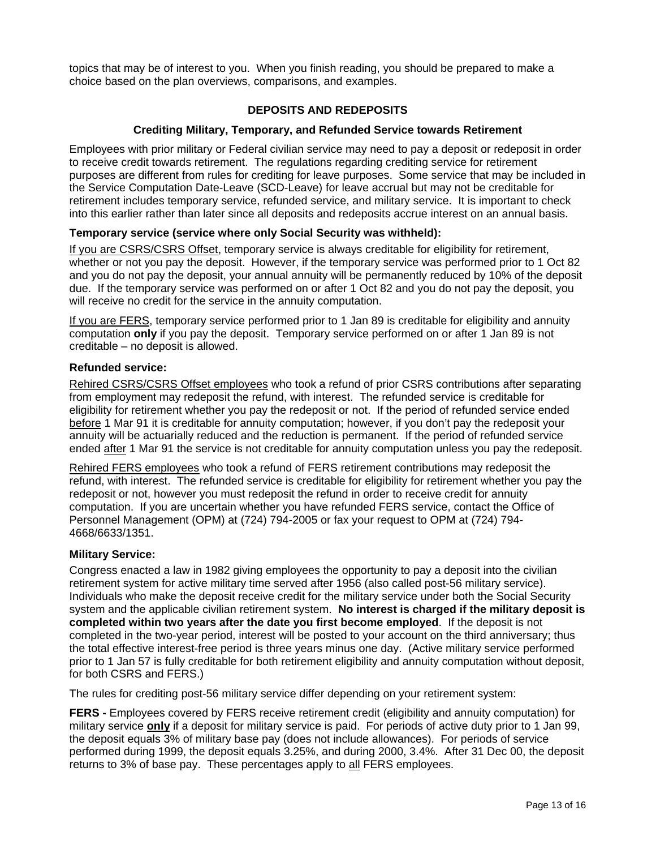topics that may be of interest to you. When you finish reading, you should be prepared to make a choice based on the plan overviews, comparisons, and examples.

## **DEPOSITS AND REDEPOSITS**

## **Crediting Military, Temporary, and Refunded Service towards Retirement**

Employees with prior military or Federal civilian service may need to pay a deposit or redeposit in order to receive credit towards retirement. The regulations regarding crediting service for retirement purposes are different from rules for crediting for leave purposes. Some service that may be included in the Service Computation Date-Leave (SCD-Leave) for leave accrual but may not be creditable for retirement includes temporary service, refunded service, and military service. It is important to check into this earlier rather than later since all deposits and redeposits accrue interest on an annual basis.

## **Temporary service (service where only Social Security was withheld):**

If you are CSRS/CSRS Offset, temporary service is always creditable for eligibility for retirement, whether or not you pay the deposit. However, if the temporary service was performed prior to 1 Oct 82 and you do not pay the deposit, your annual annuity will be permanently reduced by 10% of the deposit due. If the temporary service was performed on or after 1 Oct 82 and you do not pay the deposit, you will receive no credit for the service in the annuity computation.

If you are FERS, temporary service performed prior to 1 Jan 89 is creditable for eligibility and annuity computation **only** if you pay the deposit. Temporary service performed on or after 1 Jan 89 is not creditable – no deposit is allowed.

## **Refunded service:**

Rehired CSRS/CSRS Offset employees who took a refund of prior CSRS contributions after separating from employment may redeposit the refund, with interest. The refunded service is creditable for eligibility for retirement whether you pay the redeposit or not. If the period of refunded service ended before 1 Mar 91 it is creditable for annuity computation; however, if you don't pay the redeposit your annuity will be actuarially reduced and the reduction is permanent. If the period of refunded service ended after 1 Mar 91 the service is not creditable for annuity computation unless you pay the redeposit.

Rehired FERS employees who took a refund of FERS retirement contributions may redeposit the refund, with interest. The refunded service is creditable for eligibility for retirement whether you pay the redeposit or not, however you must redeposit the refund in order to receive credit for annuity computation. If you are uncertain whether you have refunded FERS service, contact the Office of Personnel Management (OPM) at (724) 794-2005 or fax your request to OPM at (724) 794- 4668/6633/1351.

## **Military Service:**

Congress enacted a law in 1982 giving employees the opportunity to pay a deposit into the civilian retirement system for active military time served after 1956 (also called post-56 military service). Individuals who make the deposit receive credit for the military service under both the Social Security system and the applicable civilian retirement system. **No interest is charged if the military deposit is completed within two years after the date you first become employed**. If the deposit is not completed in the two-year period, interest will be posted to your account on the third anniversary; thus the total effective interest-free period is three years minus one day. (Active military service performed prior to 1 Jan 57 is fully creditable for both retirement eligibility and annuity computation without deposit, for both CSRS and FERS.)

The rules for crediting post-56 military service differ depending on your retirement system:

**FERS -** Employees covered by FERS receive retirement credit (eligibility and annuity computation) for military service **only** if a deposit for military service is paid. For periods of active duty prior to 1 Jan 99, the deposit equals 3% of military base pay (does not include allowances). For periods of service performed during 1999, the deposit equals 3.25%, and during 2000, 3.4%. After 31 Dec 00, the deposit returns to 3% of base pay. These percentages apply to all FERS employees.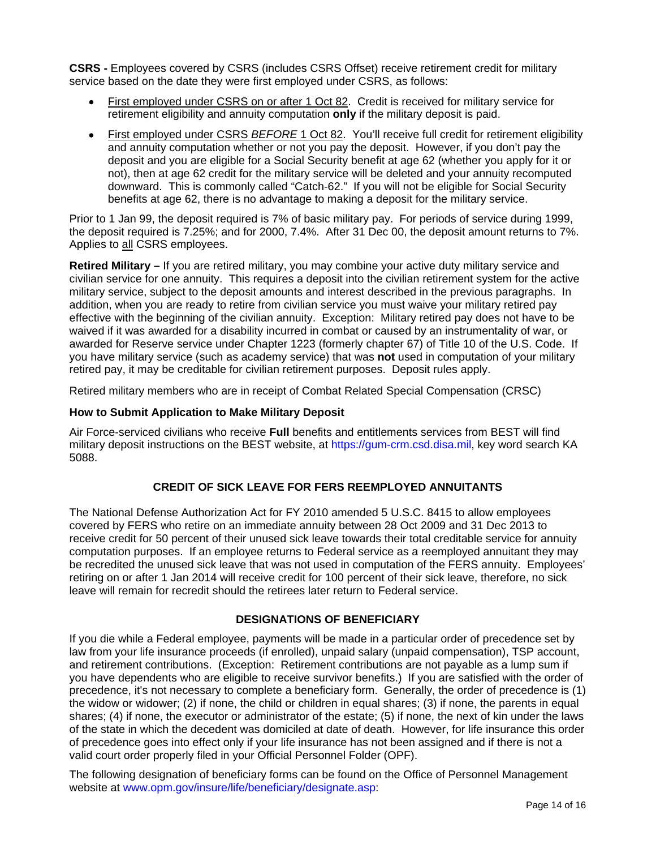**CSRS -** Employees covered by CSRS (includes CSRS Offset) receive retirement credit for military service based on the date they were first employed under CSRS, as follows:

- First employed under CSRS on or after 1 Oct 82. Credit is received for military service for retirement eligibility and annuity computation **only** if the military deposit is paid.
- First employed under CSRS *BEFORE* 1 Oct 82. You'll receive full credit for retirement eligibility and annuity computation whether or not you pay the deposit. However, if you don't pay the deposit and you are eligible for a Social Security benefit at age 62 (whether you apply for it or not), then at age 62 credit for the military service will be deleted and your annuity recomputed downward. This is commonly called "Catch-62." If you will not be eligible for Social Security benefits at age 62, there is no advantage to making a deposit for the military service.

Prior to 1 Jan 99, the deposit required is 7% of basic military pay. For periods of service during 1999, the deposit required is 7.25%; and for 2000, 7.4%. After 31 Dec 00, the deposit amount returns to 7%. Applies to all CSRS employees.

**Retired Military –** If you are retired military, you may combine your active duty military service and civilian service for one annuity. This requires a deposit into the civilian retirement system for the active military service, subject to the deposit amounts and interest described in the previous paragraphs. In addition, when you are ready to retire from civilian service you must waive your military retired pay effective with the beginning of the civilian annuity. Exception: Military retired pay does not have to be waived if it was awarded for a disability incurred in combat or caused by an instrumentality of war, or awarded for Reserve service under Chapter 1223 (formerly chapter 67) of Title 10 of the U.S. Code. If you have military service (such as academy service) that was **not** used in computation of your military retired pay, it may be creditable for civilian retirement purposes. Deposit rules apply.

Retired military members who are in receipt of Combat Related Special Compensation (CRSC)

## **How to Submit Application to Make Military Deposit**

Air Force-serviced civilians who receive **Full** benefits and entitlements services from BEST will find military deposit instructions on the BEST website, at https://gum-crm.csd.disa.mil, key word search KA 5088.

## **CREDIT OF SICK LEAVE FOR FERS REEMPLOYED ANNUITANTS**

The National Defense Authorization Act for FY 2010 amended 5 U.S.C. 8415 to allow employees covered by FERS who retire on an immediate annuity between 28 Oct 2009 and 31 Dec 2013 to receive credit for 50 percent of their unused sick leave towards their total creditable service for annuity computation purposes. If an employee returns to Federal service as a reemployed annuitant they may be recredited the unused sick leave that was not used in computation of the FERS annuity. Employees' retiring on or after 1 Jan 2014 will receive credit for 100 percent of their sick leave, therefore, no sick leave will remain for recredit should the retirees later return to Federal service.

## **DESIGNATIONS OF BENEFICIARY**

If you die while a Federal employee, payments will be made in a particular order of precedence set by law from your life insurance proceeds (if enrolled), unpaid salary (unpaid compensation), TSP account, and retirement contributions. (Exception: Retirement contributions are not payable as a lump sum if you have dependents who are eligible to receive survivor benefits.) If you are satisfied with the order of precedence, it's not necessary to complete a beneficiary form. Generally, the order of precedence is (1) the widow or widower; (2) if none, the child or children in equal shares; (3) if none, the parents in equal shares; (4) if none, the executor or administrator of the estate; (5) if none, the next of kin under the laws of the state in which the decedent was domiciled at date of death. However, for life insurance this order of precedence goes into effect only if your life insurance has not been assigned and if there is not a valid court order properly filed in your Official Personnel Folder (OPF).

The following designation of beneficiary forms can be found on the Office of Personnel Management website at www.opm.gov/insure/life/beneficiary/designate.asp: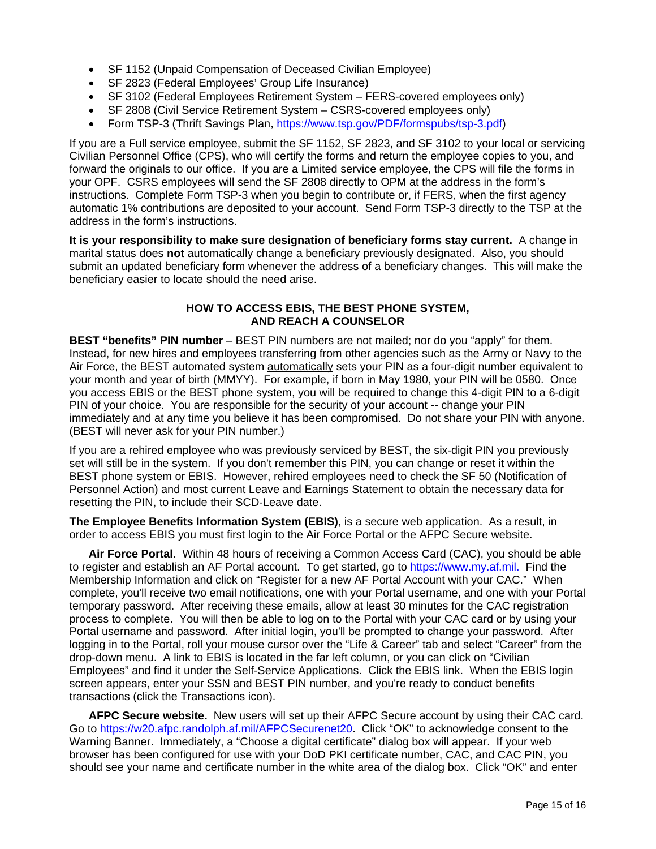- SF 1152 (Unpaid Compensation of Deceased Civilian Employee)
- SF 2823 (Federal Employees' Group Life Insurance)
- SF 3102 (Federal Employees Retirement System FERS-covered employees only)
- SF 2808 (Civil Service Retirement System CSRS-covered employees only)
- Form TSP-3 (Thrift Savings Plan, https://www.tsp.gov/PDF/formspubs/tsp-3.pdf)

If you are a Full service employee, submit the SF 1152, SF 2823, and SF 3102 to your local or servicing Civilian Personnel Office (CPS), who will certify the forms and return the employee copies to you, and forward the originals to our office. If you are a Limited service employee, the CPS will file the forms in your OPF. CSRS employees will send the SF 2808 directly to OPM at the address in the form's instructions. Complete Form TSP-3 when you begin to contribute or, if FERS, when the first agency automatic 1% contributions are deposited to your account. Send Form TSP-3 directly to the TSP at the address in the form's instructions.

**It is your responsibility to make sure designation of beneficiary forms stay current.** A change in marital status does **not** automatically change a beneficiary previously designated. Also, you should submit an updated beneficiary form whenever the address of a beneficiary changes. This will make the beneficiary easier to locate should the need arise.

### **HOW TO ACCESS EBIS, THE BEST PHONE SYSTEM, AND REACH A COUNSELOR**

**BEST "benefits" PIN number** – BEST PIN numbers are not mailed; nor do you "apply" for them. Instead, for new hires and employees transferring from other agencies such as the Army or Navy to the Air Force, the BEST automated system automatically sets your PIN as a four-digit number equivalent to your month and year of birth (MMYY). For example, if born in May 1980, your PIN will be 0580. Once you access EBIS or the BEST phone system, you will be required to change this 4-digit PIN to a 6-digit PIN of your choice. You are responsible for the security of your account -- change your PIN immediately and at any time you believe it has been compromised. Do not share your PIN with anyone. (BEST will never ask for your PIN number.)

If you are a rehired employee who was previously serviced by BEST, the six-digit PIN you previously set will still be in the system. If you don't remember this PIN, you can change or reset it within the BEST phone system or EBIS. However, rehired employees need to check the SF 50 (Notification of Personnel Action) and most current Leave and Earnings Statement to obtain the necessary data for resetting the PIN, to include their SCD-Leave date.

**The Employee Benefits Information System (EBIS)**, is a secure web application. As a result, in order to access EBIS you must first login to the Air Force Portal or the AFPC Secure website.

**Air Force Portal.** Within 48 hours of receiving a Common Access Card (CAC), you should be able to register and establish an AF Portal account. To get started, go to https://www.my.af.mil. Find the Membership Information and click on "Register for a new AF Portal Account with your CAC." When complete, you'll receive two email notifications, one with your Portal username, and one with your Portal temporary password. After receiving these emails, allow at least 30 minutes for the CAC registration process to complete. You will then be able to log on to the Portal with your CAC card or by using your Portal username and password. After initial login, you'll be prompted to change your password. After logging in to the Portal, roll your mouse cursor over the "Life & Career" tab and select "Career" from the drop-down menu. A link to EBIS is located in the far left column, or you can click on "Civilian Employees" and find it under the Self-Service Applications. Click the EBIS link. When the EBIS login screen appears, enter your SSN and BEST PIN number, and you're ready to conduct benefits transactions (click the Transactions icon).

**AFPC Secure website.** New users will set up their AFPC Secure account by using their CAC card. Go to https://w20.afpc.randolph.af.mil/AFPCSecurenet20. Click "OK" to acknowledge consent to the Warning Banner. Immediately, a "Choose a digital certificate" dialog box will appear. If your web browser has been configured for use with your DoD PKI certificate number, CAC, and CAC PIN, you should see your name and certificate number in the white area of the dialog box. Click "OK" and enter